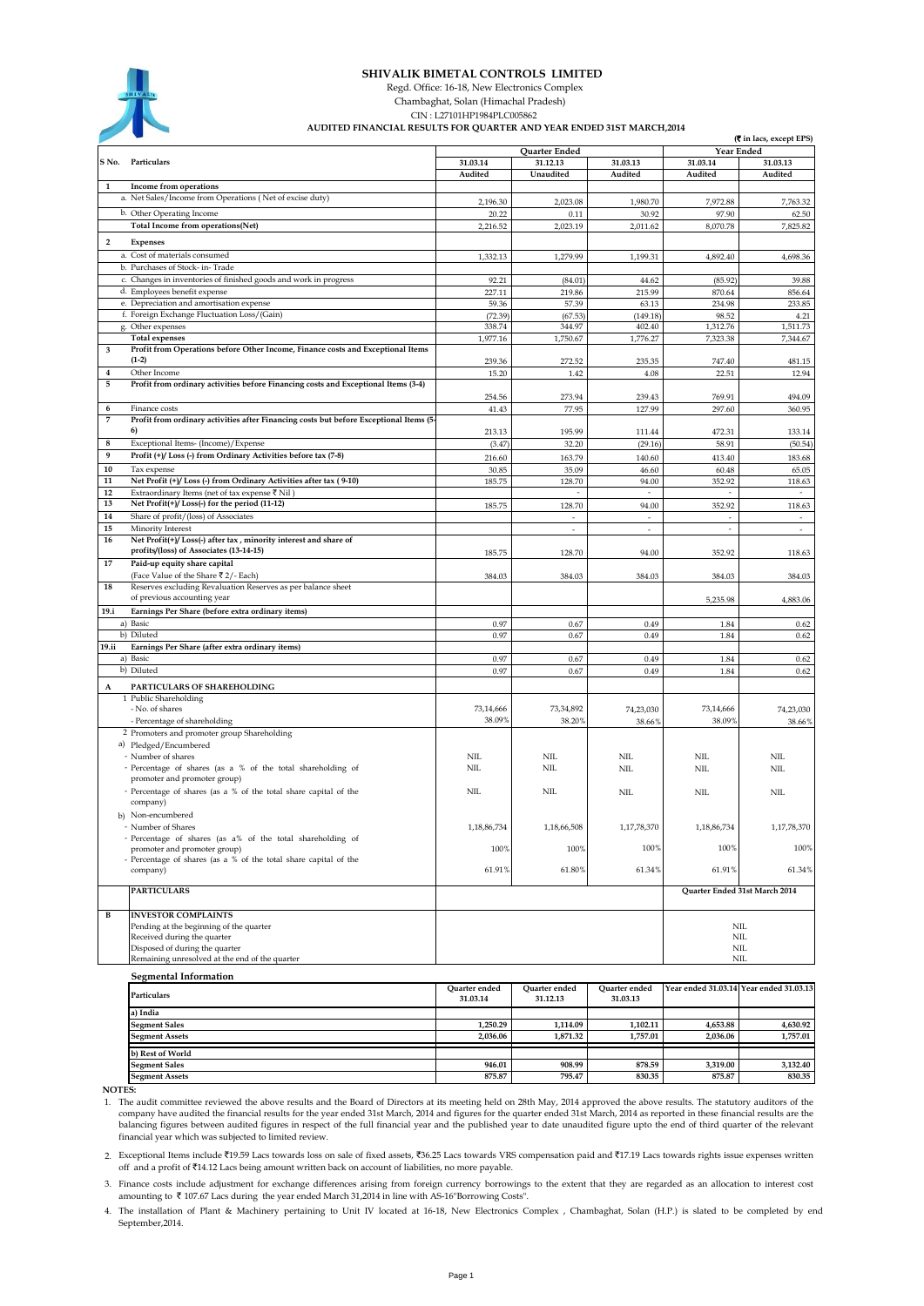

## **SHIVALIK BIMETAL CONTROLS LIMITED**

Regd. Office: 16-18, New Electronics Complex

 Chambaghat, Solan (Himachal Pradesh) CIN : L27101HP1984PLC005862

## **AUDITED FINANCIAL RESULTS FOR QUARTER AND YEAR ENDED 31ST MARCH,2014**

|                              | <b>(C</b> in lacs, except EPS)                                                                                     |                           |                       |                                    |                                         |                   |
|------------------------------|--------------------------------------------------------------------------------------------------------------------|---------------------------|-----------------------|------------------------------------|-----------------------------------------|-------------------|
| S No.                        |                                                                                                                    | Quarter Ended<br>31.03.13 |                       |                                    | Year Ended<br>31.03.14<br>31.03.13      |                   |
|                              | Particulars                                                                                                        | 31.03.14<br>Audited       | 31.12.13<br>Unaudited | Audited                            | Audited                                 | Audited           |
| 1                            | Income from operations                                                                                             |                           |                       |                                    |                                         |                   |
|                              | a. Net Sales/Income from Operations (Net of excise duty)                                                           |                           | 2,023.08              | 1,980.70                           | 7,972.88                                |                   |
|                              | b. Other Operating Income                                                                                          | 2,196.30<br>20.22         | 0.11                  | 30.92                              | 97.90                                   | 7,763.32<br>62.50 |
|                              | Total Income from operations(Net)                                                                                  | 2,216.52                  | 2,023.19              | 2,011.62                           | 8,070.78                                | 7,825.82          |
|                              |                                                                                                                    |                           |                       |                                    |                                         |                   |
| $\overline{\mathbf{2}}$      | Expenses                                                                                                           |                           |                       |                                    |                                         |                   |
|                              | a. Cost of materials consumed                                                                                      | 1,332.13                  | 1,279.99              | 1,199.31                           | 4,892.40                                | 4,698.36          |
|                              | b. Purchases of Stock- in-Trade                                                                                    |                           |                       |                                    |                                         |                   |
|                              | c. Changes in inventories of finished goods and work in progress                                                   | 92.21                     | (84.01)               | 44.62                              | (85.92)                                 | 39.88             |
|                              | d. Employees benefit expense<br>e. Depreciation and amortisation expense                                           | 227.11<br>59.36           | 219.86<br>57.39       | 215.99<br>63.13                    | 870.64<br>234.98                        | 856.64<br>233.85  |
|                              | f. Foreign Exchange Fluctuation Loss/(Gain)                                                                        | (72.39)                   | (67.53)               | (149.18)                           | 98.52                                   | 4.21              |
|                              | g. Other expenses                                                                                                  | 338.74                    | 344.97                | 402.40                             | 1,312.76                                | 1,511.73          |
|                              | <b>Total expenses</b>                                                                                              | 1,977.16                  | 1,750.67              | 1,776.27                           | 7,323.38                                | 7,344.67          |
| 3                            | Profit from Operations before Other Income, Finance costs and Exceptional Items                                    |                           |                       |                                    |                                         |                   |
|                              | $(1-2)$                                                                                                            | 239.36                    | 272.52                | 235.35                             | 747.40                                  | 481.15            |
| $\overline{\mathbf{4}}$      | Other Income                                                                                                       | 15.20                     | 1.42                  | 4.08                               | 22.51                                   | 12.94             |
| 5                            | Profit from ordinary activities before Financing costs and Exceptional Items (3-4)                                 |                           |                       |                                    |                                         |                   |
|                              |                                                                                                                    | 254.56                    | 273.94                | 239.43                             | 769.91                                  | 494.09            |
| 6                            | Finance costs                                                                                                      | 41.43                     | 77.95                 | 127.99                             | 297.60                                  | 360.95            |
| 7                            | Profit from ordinary activities after Financing costs but before Exceptional Items (5-                             |                           |                       |                                    |                                         |                   |
|                              | 6)                                                                                                                 | 213.13                    | 195.99                | 111.44                             | 472.31                                  | 133.14            |
| 8<br>9                       | Exceptional Items- (Income)/Expense                                                                                | (3.47)                    | 32.20                 | (29.16)                            | 58.91                                   | (50.54)           |
|                              | Profit (+)/Loss (-) from Ordinary Activities before tax (7-8)                                                      | 216.60                    | 163.79                | 140.60                             | 413.40                                  | 183.68            |
| 10                           | Tax expense                                                                                                        | 30.85                     | 35.09                 | 46.60                              | 60.48                                   | 65.05             |
| ${\bf 11}$<br>12             | Net Profit (+)/Loss (-) from Ordinary Activities after tax (9-10)<br>Extraordinary Items (net of tax expense ₹ Nil | 185.75                    | 128.70                | 94.00<br>ä,                        | 352.92                                  | 118.63            |
| 13                           | Net Profit(+)/Loss(-) for the period (11-12)                                                                       |                           |                       |                                    |                                         |                   |
| 14                           | Share of profit/(loss) of Associates                                                                               | 185.75                    | 128.70                | 94.00                              | 352.92<br>$\overline{\phantom{a}}$      | 118.63            |
| 15                           | Minority Interest                                                                                                  |                           | $\sim$<br>ä,          | $\overline{\phantom{a}}$<br>$\sim$ | $\omega$                                | $\sim$<br>$\sim$  |
| 16                           | Net Profit(+)/Loss(-) after tax, minority interest and share of                                                    |                           |                       |                                    |                                         |                   |
|                              | profits/(loss) of Associates (13-14-15)                                                                            | 185.75                    | 128.70                | 94.00                              | 352.92                                  | 118.63            |
| 17                           | Paid-up equity share capital                                                                                       |                           |                       |                                    |                                         |                   |
|                              | (Face Value of the Share ₹ 2/- Each)                                                                               | 384.03                    | 384.03                | 384.03                             | 384.03                                  | 384.03            |
| 18                           | Reserves excluding Revaluation Reserves as per balance sheet                                                       |                           |                       |                                    |                                         |                   |
|                              | of previous accounting year                                                                                        |                           |                       |                                    | 5,235.98                                | 4,883.06          |
| 19.i                         | Earnings Per Share (before extra ordinary items)                                                                   |                           |                       |                                    |                                         |                   |
|                              | a) Basic                                                                                                           | 0.97                      | 0.67                  | 0.49                               | 1.84                                    | 0.62              |
|                              | b) Diluted                                                                                                         | 0.97                      | 0.67                  | 0.49                               | 1.84                                    | 0.62              |
| 19.ii                        | Earnings Per Share (after extra ordinary items)                                                                    |                           |                       |                                    |                                         |                   |
|                              | a) Basic                                                                                                           | 0.97                      | 0.67                  | 0.49                               | 1.84                                    | 0.62              |
|                              | b) Diluted                                                                                                         | 0.97                      | 0.67                  | 0.49                               | 1.84                                    | 0.62              |
| A                            | PARTICULARS OF SHAREHOLDING                                                                                        |                           |                       |                                    |                                         |                   |
|                              | 1 Public Shareholding                                                                                              |                           |                       |                                    |                                         |                   |
|                              | - No. of shares                                                                                                    | 73,14,666                 | 73,34,892             | 74,23,030                          | 73,14,666                               | 74,23,030         |
|                              | - Percentage of shareholding                                                                                       | 38.09%                    | 38.20%                | 38.66%                             | 38.09%                                  | 38.66%            |
|                              | 2 Promoters and promoter group Shareholding                                                                        |                           |                       |                                    |                                         |                   |
|                              | a) Pledged/Encumbered<br>- Number of shares                                                                        | <b>NIL</b>                | <b>NIL</b>            | NIL                                | <b>NIL</b>                              | NIL               |
|                              | - Percentage of shares (as a % of the total shareholding of                                                        | <b>NIL</b>                | NIL                   | NIL                                | <b>NIL</b>                              | NIL               |
|                              | promoter and promoter group)                                                                                       |                           |                       |                                    |                                         |                   |
|                              | - Percentage of shares (as a % of the total share capital of the                                                   | <b>NIL</b>                | NIL                   | <b>NIL</b>                         | <b>NIL</b>                              | <b>NIL</b>        |
|                              | company)                                                                                                           |                           |                       |                                    |                                         |                   |
|                              | b) Non-encumbered                                                                                                  |                           |                       |                                    |                                         |                   |
|                              | - Number of Shares                                                                                                 | 1,18,86,734               | 1,18,66,508           | 1,17,78,370                        | 1,18,86,734                             | 1,17,78,370       |
|                              | - Percentage of shares (as a% of the total shareholding of                                                         |                           |                       |                                    |                                         |                   |
|                              | promoter and promoter group)                                                                                       | 100%                      | 100%                  | 100%                               | 100%                                    | 100%              |
|                              | - Percentage of shares (as a % of the total share capital of the                                                   | 61.91%                    | 61.80%                | 61.34%                             | 61.91%                                  | 61.34%            |
|                              | company)                                                                                                           |                           |                       |                                    |                                         |                   |
|                              | <b>PARTICULARS</b>                                                                                                 |                           |                       |                                    | Quarter Ended 31st March 2014           |                   |
|                              |                                                                                                                    |                           |                       |                                    |                                         |                   |
| B                            | <b>INVESTOR COMPLAINTS</b>                                                                                         |                           |                       |                                    |                                         |                   |
|                              | Pending at the beginning of the quarter                                                                            |                           |                       |                                    |                                         | <b>NIL</b>        |
|                              | Received during the quarter                                                                                        |                           |                       |                                    |                                         | $\text{NIL}$      |
|                              | Disposed of during the quarter                                                                                     |                           |                       |                                    |                                         | NIL               |
|                              | Remaining unresolved at the end of the quarter                                                                     |                           |                       |                                    |                                         | NIL               |
| <b>Segmental Information</b> |                                                                                                                    |                           |                       |                                    |                                         |                   |
|                              | Particulars                                                                                                        | Quarter ended             | Quarter ended         | <b>Quarter</b> ended               | Year ended 31.03.14 Year ended 31.03.13 |                   |
|                              |                                                                                                                    | 31.03.14                  | 31.12.13              | 31.03.13                           |                                         |                   |
|                              | a) India                                                                                                           |                           |                       |                                    |                                         |                   |
|                              | <b>Segment Sales</b>                                                                                               | 1.250.29                  | 1.114.09              | 1.102.11                           | 4.653.88                                | 4.630.92          |

 **NOTES:**

**Segment Assets b) Rest of World Segment Sales nt** As

1. The audit committee reviewed the above results and the Board of Directors at its meeting held on 28th May, 2014 approved the above results. The statutory auditors of the company have audited the financial results for the year ended 31st March, 2014 and figures for the quarter ended 31st March, 2014 as reported in these financial results are the<br>balancing figures between audited figures in

 **1,250.29 1,114.09 1,102.11 4,653.88 4,630.92 2,036.06 1,871.32 1,757.01 2,036.06 1,757.01 946.01** 908.99 878.59 3,319.00 3,132.40 **875.87 795.47 830.35 875.87 830.35** 

2. Exceptional Items include ₹19.59 Lacs towards loss on sale of fixed assets, ₹36.25 Lacs towards VRS compensation paid and ₹17.19 Lacs towards rights issue expenses written off and a profit of `14.12 Lacs being amount written back on account of liabilities, no more payable.

3. Finance costs include adjustment for exchange differences arising from foreign currency borrowings to the extent that they are regarded as an allocation to interest cost amounting to  $\bar{\tau}$  107.67 Lacs during the year ended March 31,2014 in line with AS-16"Borrowing Costs"

4. The installation of Plant & Machinery pertaining to Unit IV located at 16-18, New Electronics Complex , Chambaghat, Solan (H.P.) is slated to be completed by end September,2014.